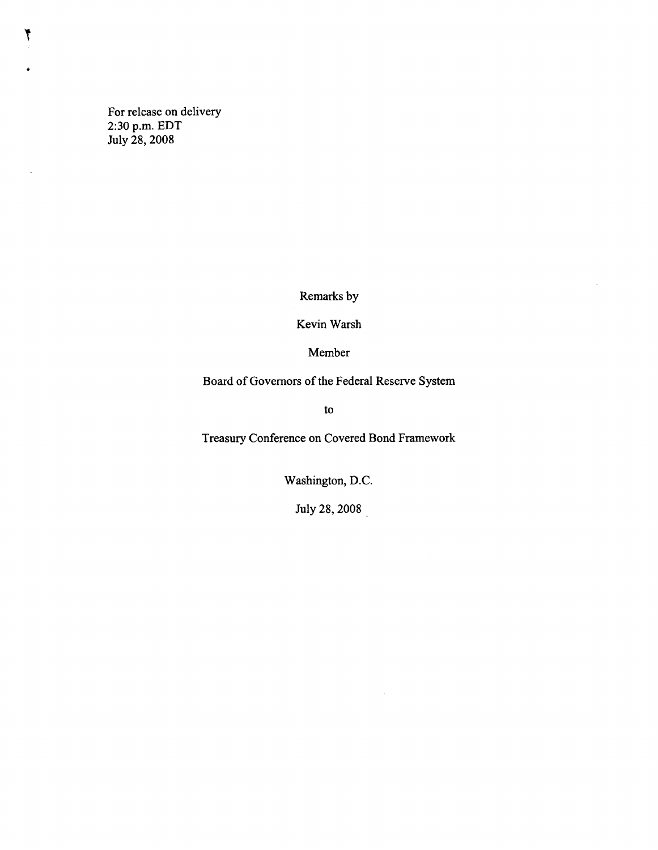For release on delivery 2:30 p.m. EDT July 28, 2008

T

 $\bar{z}$ 

Remarks by

Kevin Warsh

Member

Board of Governors of the Federal Reserve System

to

Treasury Conference on Covered Bond Framework

Washington, D.C.

July 28, 2008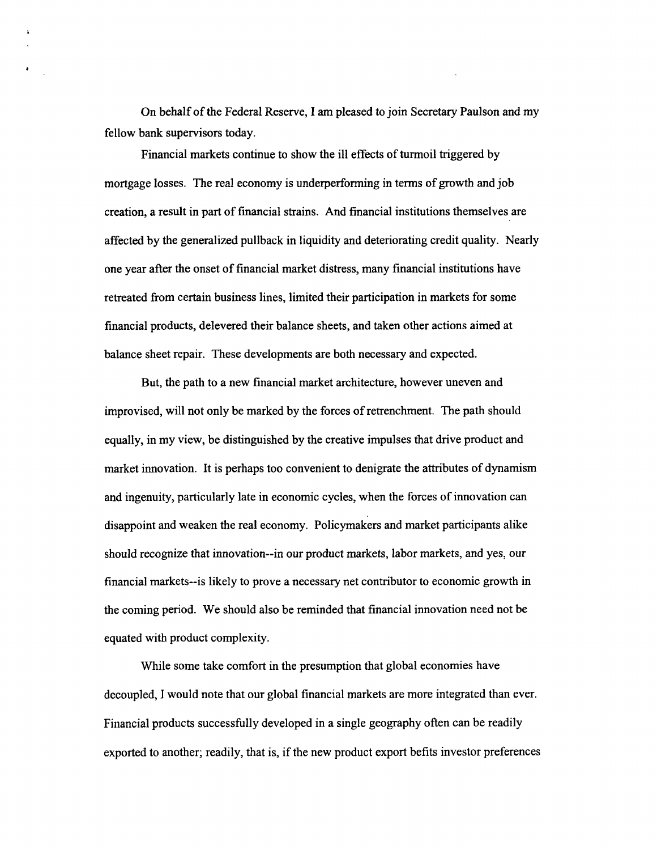On behalf of the Federal Reserve, I am pleased to join Secretary Paulson and my fellow bank supervisors today.

Financial markets continue to show the ill effects of turmoil triggered by mortgage losses. The real economy is underperforming in terms of growth and job creation, a result in part of financial strains. And financial institutions themselves are affected by the generalized pullback in liquidity and deteriorating credit quality. Nearly one year after the onset of financial market distress, many financial institutions have retreated from certain business lines, limited their participation in markets for some financial products, delevered their balance sheets, and taken other actions aimed at balance sheet repair. These developments are both necessary and expected.

But, the path to a new financial market architecture, however uneven and improvised, will not only be marked by the forces of retrenchment. The path should equally, in my view, be distinguished by the creative impulses that drive product and market innovation. It is perhaps too convenient to denigrate the attributes of dynamism and ingenuity, particularly late in economic cycles, when the forces of innovation can disappoint and weaken the real economy. Policymakers and market participants alike should recognize that innovation—in our product markets, labor markets, and yes, our financial markets—is likely to prove a necessary net contributor to economic growth in the coming period. We should also be reminded that financial innovation need not be equated with product complexity.

While some take comfort in the presumption that global economies have decoupled, I would note that our global financial markets are more integrated than ever. Financial products successfully developed in a single geography often can be readily exported to another; readily, that is, if the new product export befits investor preferences